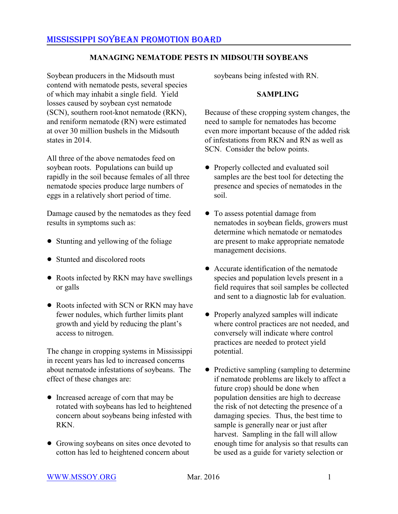### **MANAGING NEMATODE PESTS IN MIDSOUTH SOYBEANS**

Soybean producers in the Midsouth must contend with nematode pests, several species of which may inhabit a single field. Yield losses caused by soybean cyst nematode (SCN), southern root-knot nematode (RKN), and reniform nematode (RN) were estimated at over 30 million bushels in the Midsouth states in 2014.

All three of the above nematodes feed on soybean roots. Populations can build up rapidly in the soil because females of all three nematode species produce large numbers of eggs in a relatively short period of time.

Damage caused by the nematodes as they feed results in symptoms such as:

- Stunting and yellowing of the foliage
- Stunted and discolored roots
- Roots infected by RKN may have swellings or galls
- Roots infected with SCN or RKN may have fewer nodules, which further limits plant growth and yield by reducing the plant's access to nitrogen.

The change in cropping systems in Mississippi in recent years has led to increased concerns about nematode infestations of soybeans. The effect of these changes are:

- ! Increased acreage of corn that may be rotated with soybeans has led to heightened concern about soybeans being infested with RKN.
- Growing soybeans on sites once devoted to cotton has led to heightened concern about

soybeans being infested with RN.

#### **SAMPLING**

Because of these cropping system changes, the need to sample for nematodes has become even more important because of the added risk of infestations from RKN and RN as well as SCN. Consider the below points.

- ! Properly collected and evaluated soil samples are the best tool for detecting the presence and species of nematodes in the soil.
- ! To assess potential damage from nematodes in soybean fields, growers must determine which nematode or nematodes are present to make appropriate nematode management decisions.
- Accurate identification of the nematode species and population levels present in a field requires that soil samples be collected and sent to a diagnostic lab for evaluation.
- Properly analyzed samples will indicate where control practices are not needed, and conversely will indicate where control practices are needed to protect yield potential.
- Predictive sampling (sampling to determine if nematode problems are likely to affect a future crop) should be done when population densities are high to decrease the risk of not detecting the presence of a damaging species. Thus, the best time to sample is generally near or just after harvest. Sampling in the fall will allow enough time for analysis so that results can be used as a guide for variety selection or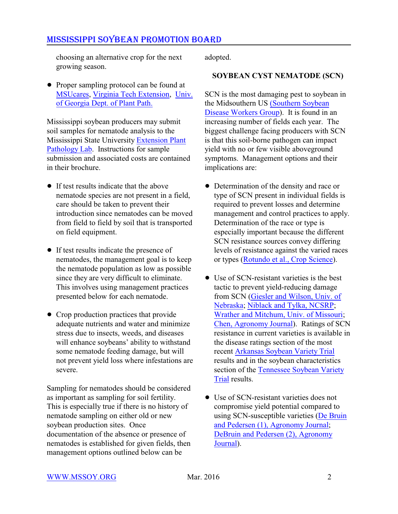choosing an alternative crop for the next growing season.

• Proper sampling protocol can be found at [MSUcares](http://msucares.com/pubs/publications/p1293.pdf), [Virginia Tech Extension](http://blogs.ext.vt.edu/soybean-update/2012/09/27/its-time-to-sample-for-nematodes/), [Univ.](http://www.caes.uga.edu/extension/dekalb/anr/documents/NematodeSamplingGuide.pdf) [of Georgia Dept. of Plant Path.](http://www.caes.uga.edu/extension/dekalb/anr/documents/NematodeSamplingGuide.pdf)

Mississippi soybean producers may submit soil samples for nematode analysis to the Mississippi State University [Extension Plant](http://msucares.com/pubs/misc/m1230.pdf) [Pathology Lab](http://msucares.com/pubs/misc/m1230.pdf). Instructions for sample submission and associated costs are contained in their brochure.

- If test results indicate that the above nematode species are not present in a field, care should be taken to prevent their introduction since nematodes can be moved from field to field by soil that is transported on field equipment.
- If test results indicate the presence of nematodes, the management goal is to keep the nematode population as low as possible since they are very difficult to eliminate. This involves using management practices presented below for each nematode.
- Crop production practices that provide adequate nutrients and water and minimize stress due to insects, weeds, and diseases will enhance soybeans' ability to withstand some nematode feeding damage, but will not prevent yield loss where infestations are severe.

Sampling for nematodes should be considered as important as sampling for soil fertility. This is especially true if there is no history of nematode sampling on either old or new soybean production sites. Once documentation of the absence or presence of nematodes is established for given fields, then management options outlined below can be

adopted.

### **SOYBEAN CYST NEMATODE (SCN)**

SCN is the most damaging pest to soybean in the Midsouthern US [\(Southern Soybean](http://mssoy.org/blog/soybean-yield-loss-to-diseases-in-the-midsouthern-us-2/) [Disease Workers Group](http://mssoy.org/blog/soybean-yield-loss-to-diseases-in-the-midsouthern-us-2/)). It is found in an increasing number of fields each year. The biggest challenge facing producers with SCN is that this soil-borne pathogen can impact yield with no or few visible aboveground symptoms. Management options and their implications are:

- Determination of the density and race or type of SCN present in individual fields is required to prevent losses and determine management and control practices to apply. Determination of the race or type is especially important because the different SCN resistance sources convey differing levels of resistance against the varied races or types [\(Rotundo et al., Crop Science](https://www.crops.org/publications/cs/pdfs/50/6/2565?search-result=1)).
- Use of SCN-resistant varieties is the best tactic to prevent yield-reducing damage from SCN [\(Giesler and Wilson, Univ. of](http://extensionpublications.unl.edu/assets/pdf/g1383.pdf) [Nebraska](http://extensionpublications.unl.edu/assets/pdf/g1383.pdf); [Niblack and Tylka, NCSRP](http://www.ncsrp.com/pdf_doc/SCN_Management.pdf); [Wrather and Mitchum, Univ. of Missouri](http://extension.missouri.edu/publications/DisplayPub.aspx?P=G4450); [Chen, Agronomy Journal](https://www.agronomy.org/publications/aj/articles/99/3/797)). Ratings of SCN resistance in current varieties is available in the disease ratings section of the most recent [Arkansas Soybean Variety Trial](http://arkansasvarietytesting.com/home/soybean/) results and in the soybean characteristics section of the [Tennessee Soybean Variety](http://www.utcrops.com/soybean/soybean_images/2015%20TN%20Soybean%20Variety%20Test%20Report%20-%20FOR%20WEB.pdf) [Trial](http://www.utcrops.com/soybean/soybean_images/2015%20TN%20Soybean%20Variety%20Test%20Report%20-%20FOR%20WEB.pdf) results.
- Use of SCN-resistant varieties does not compromise yield potential compared to using SCN-susceptible varieties [\(De Bruin](http://extension.agron.iastate.edu/soybean/documents/1347.pdf) [and Pedersen \(1\), Agronomy Journal](http://extension.agron.iastate.edu/soybean/documents/1347.pdf); [DeBruin and Pedersen \(2\), Agronomy](http://extension.agron.iastate.edu/soybean/documents/1354.pdf) [Journal](http://extension.agron.iastate.edu/soybean/documents/1354.pdf)).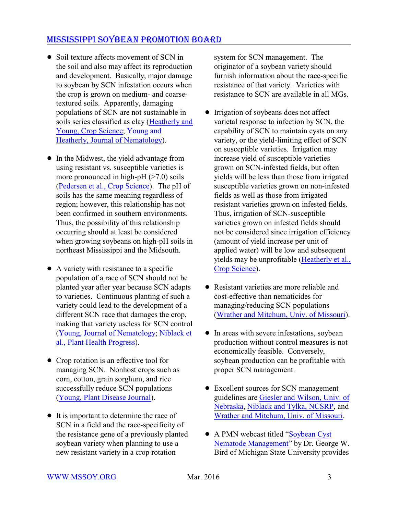- Soil texture affects movement of SCN in the soil and also may affect its reproduction and development. Basically, major damage to soybean by SCN infestation occurs when the crop is grown on medium- and coarsetextured soils. Apparently, damaging populations of SCN are not sustainable in soils series classified as clay [\(Heatherly and](https://www.crops.org/publications/cs/abstracts/31/1/CS0310010191) [Young, Crop Science](https://www.crops.org/publications/cs/abstracts/31/1/CS0310010191); [Young and](http://www.ncbi.nlm.nih.gov/pmc/articles/PMC2619067/pdf/618.pdf) [Heatherly, Journal of Nematology](http://www.ncbi.nlm.nih.gov/pmc/articles/PMC2619067/pdf/618.pdf)).
- In the Midwest, the yield advantage from using resistant vs. susceptible varieties is more pronounced in high-pH  $($ >7.0) soils [\(Pedersen et al., Crop Science](https://www.crops.org/publications/cs/articles/50/4/1458?highlight=JmFydGljbGVfdm9sdW1lPTUwJmFydGljbGVfZmlyc3RwYWdlPTE0NTgmcT0oam91cm5hbDpjcykmbGVuPTEwJnN0YXJ0PTEmc3RlbT1mYWxzZSZzb3J0PQ%3D%3D)). The pH of soils has the same meaning regardless of region; however, this relationship has not been confirmed in southern environments. Thus, the possibility of this relationship occurring should at least be considered when growing soybeans on high-pH soils in northeast Mississippi and the Midsouth.
- $\bullet$  A variety with resistance to a specific population of a race of SCN should not be planted year after year because SCN adapts to varieties. Continuous planting of such a variety could lead to the development of a different SCN race that damages the crop, making that variety useless for SCN control [\(Young, Journal of Nematology](http://www.ncbi.nlm.nih.gov/pmc/articles/PMC2619517/pdf/505.pdf); [Niblack et](http://www.plantmanagementnetwork.org/pub/php/research/2008/virulence/) [al., Plant Health Progress](http://www.plantmanagementnetwork.org/pub/php/research/2008/virulence/)).
- Crop rotation is an effective tool for managing SCN. Nonhost crops such as corn, cotton, grain sorghum, and rice successfully reduce SCN populations [\(Young, Plant Disease Journal](http://apsjournals.apsnet.org/doi/pdfplus/10.1094/PDIS.1998.82.6.615)).
- It is important to determine the race of SCN in a field and the race-specificity of the resistance gene of a previously planted soybean variety when planning to use a new resistant variety in a crop rotation

system for SCN management. The originator of a soybean variety should furnish information about the race-specific resistance of that variety. Varieties with resistance to SCN are available in all MGs.

- Irrigation of soybeans does not affect varietal response to infection by SCN, the capability of SCN to maintain cysts on any variety, or the yield-limiting effect of SCN on susceptible varieties. Irrigation may increase yield of susceptible varieties grown on SCN-infested fields, but often yields will be less than those from irrigated susceptible varieties grown on non-infested fields as well as those from irrigated resistant varieties grown on infested fields. Thus, irrigation of SCN-susceptible varieties grown on infested fields should not be considered since irrigation efficiency (amount of yield increase per unit of applied water) will be low and subsequent yields may be unprofitable [\(Heatherly et al.,](https://www.crops.org/publications/cs/abstracts/32/3/CS0320030802) [Crop Science](https://www.crops.org/publications/cs/abstracts/32/3/CS0320030802)).
- Resistant varieties are more reliable and cost-effective than nematicides for managing/reducing SCN populations [\(Wrather and Mitchum, Univ. of Missouri](http://extension.missouri.edu/publications/DisplayPub.aspx?P=G4450)).
- In areas with severe infestations, soybean production without control measures is not economically feasible. Conversely, soybean production can be profitable with proper SCN management.
- Excellent sources for SCN management guidelines are [Giesler and Wilson, Univ. of](http://www.ianrpubs.unl.edu/epublic/pages/publicationD.jsp?publicationId=1180) [Nebraska](http://www.ianrpubs.unl.edu/epublic/pages/publicationD.jsp?publicationId=1180), [Niblack and Tylka, NCSRP](http://www.ncsrp.com/pdf_doc/SCN_Management.pdf), and [Wrather and Mitchum, Univ. of Missouri](http://extension.missouri.edu/publications/DisplayPub.aspx?P=G4450).
- A PMN webcast titled ["Soybean Cyst](http://www.plantmanagementnetwork.org/edcenter/seminars/soybean/SCNManagement/)" [Nematode Management](http://www.plantmanagementnetwork.org/edcenter/seminars/soybean/SCNManagement/)" by Dr. George W. Bird of Michigan State University provides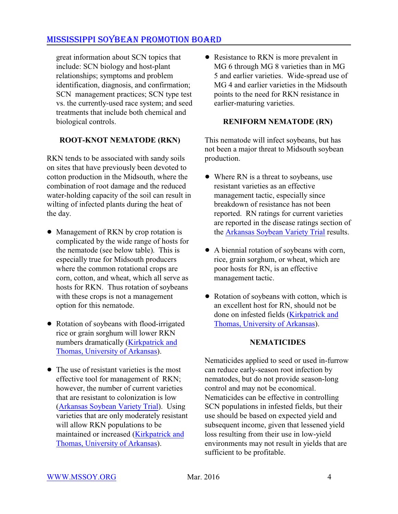great information about SCN topics that include: SCN biology and host-plant relationships; symptoms and problem identification, diagnosis, and confirmation; SCN management practices; SCN type test vs. the currently-used race system; and seed treatments that include both chemical and biological controls.

### **ROOT-KNOT NEMATODE (RKN)**

RKN tends to be associated with sandy soils on sites that have previously been devoted to cotton production in the Midsouth, where the combination of root damage and the reduced water-holding capacity of the soil can result in wilting of infected plants during the heat of the day.

- Management of RKN by crop rotation is complicated by the wide range of hosts for the nematode (see below table). This is especially true for Midsouth producers where the common rotational crops are corn, cotton, and wheat, which all serve as hosts for RKN. Thus rotation of soybeans with these crops is not a management option for this nematode.
- ! Rotation of soybeans with flood-irrigated rice or grain sorghum will lower RKN numbers dramatically [\(Kirkpatrick and](http://www.uaex.edu/publications/pdf/FSA-7550.pdf) [Thomas, University of Arkansas](http://www.uaex.edu/publications/pdf/FSA-7550.pdf)).
- The use of resistant varieties is the most effective tool for management of RKN; however, the number of current varieties that are resistant to colonization is low [\(Arkansas Soybean Variety Trial](http://arkansasvarietytesting.com/home/soybean/)). Using varieties that are only moderately resistant will allow RKN populations to be maintained or increased [\(Kirkpatrick and](http://www.uaex.edu/publications/pdf/FSA-7550.pdf) [Thomas, University of Arkansas](http://www.uaex.edu/publications/pdf/FSA-7550.pdf)).

• Resistance to RKN is more prevalent in MG 6 through MG 8 varieties than in MG 5 and earlier varieties. Wide-spread use of MG 4 and earlier varieties in the Midsouth points to the need for RKN resistance in earlier-maturing varieties.

#### **RENIFORM NEMATODE (RN)**

This nematode will infect soybeans, but has not been a major threat to Midsouth soybean production.

- Where RN is a threat to soybeans, use resistant varieties as an effective management tactic, especially since breakdown of resistance has not been reported. RN ratings for current varieties are reported in the disease ratings section of the [Arkansas Soybean Variety Trial](http://arkansasvarietytesting.com/home/soybean/) results.
- A biennial rotation of soybeans with corn, rice, grain sorghum, or wheat, which are poor hosts for RN, is an effective management tactic.
- Rotation of soybeans with cotton, which is an excellent host for RN, should not be done on infested fields [\(Kirkpatrick and](http://www.uaex.edu/publications/pdf/FSA-7550.pdf) [Thomas, University of Arkansas](http://www.uaex.edu/publications/pdf/FSA-7550.pdf)).

### **NEMATICIDES**

Nematicides applied to seed or used in-furrow can reduce early-season root infection by nematodes, but do not provide season-long control and may not be economical. Nematicides can be effective in controlling SCN populations in infested fields, but their use should be based on expected yield and subsequent income, given that lessened yield loss resulting from their use in low-yield environments may not result in yields that are sufficient to be profitable.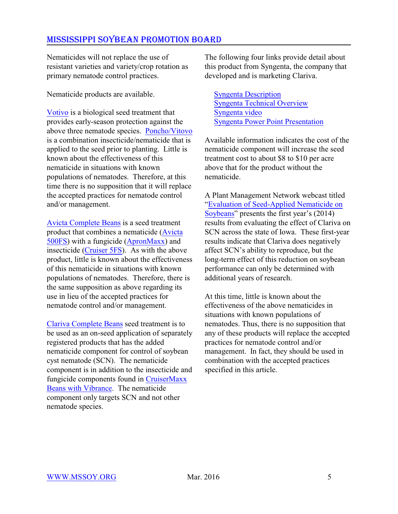Nematicides will not replace the use of resistant varieties and variety/crop rotation as primary nematode control practices.

Nematicide products are available.

[Votivo](http://www.plantmanagementnetwork.org/pub/php/news/2009/VOTiVO/) is a biological seed treatment that provides early-season protection against the above three nematode species. [Poncho/Vitovo](http://www.agrian.com/pdfs/PonchoVOTiVO_Label5b.pdf) is a combination insecticide/nematicide that is applied to the seed prior to planting. Little is known about the effectiveness of this nematicide in situations with known populations of nematodes. Therefore, at this time there is no supposition that it will replace the accepted practices for nematode control and/or management.

[Avicta Complete Beans](http://www.syngentacropprotection.com/prodrender/index.aspx?prodid=1262&MID=466) is a seed treatment product that combines a nematicide [\(Avicta](http://www.syngentacropprotection-us.com/pdf/labels/SCP1204AL30910.pdf) [500FS](http://www.syngentacropprotection-us.com/pdf/labels/SCP1204AL30910.pdf)) with a fungicide [\(ApronMaxx](http://www.syngentacropprotection-us.com/pdf/labels/SCP946AL1G0809.pdf)) and insecticide [\(Cruiser 5FS](http://www.syngentacropprotection.com/pdf/labels/SCP941BL3L0509.pdf)). As with the above product, little is known about the effectiveness of this nematicide in situations with known populations of nematodes. Therefore, there is the same supposition as above regarding its use in lieu of the accepted practices for nematode control and/or management.

[Clariva Complete Beans](http://pdf.tirmsdev.com/Web/121/700084/121_700084_LABEL_English_.pdf?download=true) seed treatment is to be used as an on-seed application of separately registered products that has the added nematicide component for control of soybean cyst nematode (SCN). The nematicide component is in addition to the insecticide and fungicide components found in [CruiserMaxx](http://www.syngentacropprotection.com/pdf/labels/CMBVLabel.pdf) [Beans with Vibrance](http://www.syngentacropprotection.com/pdf/labels/CMBVLabel.pdf). The nematicide component only targets SCN and not other nematode species.

The following four links provide detail about this product from Syngenta, the company that developed and is marketing Clariva.

[Syngenta Description](http://www.syngentaebiz.com/productsystem/ImageHandler.ashx?ImID=52de4b7c-b234-464f-b654-4656439f2b87&fTy=0&t=0) [Syngenta Technical Overview](http://www.syngentaebiz.com/productsystem/ImageHandler.ashx?ImID=76f635de-c7b3-4aba-b579-2e54079231f7&fTy=0&t=0) [Syngenta video](http://farmassist.com/Blogs/video.aspx?playtype=1&flashurl=http://vidego-http.multicastmedia.com/mm/flvmedia/2968/n/w/t/nwt7l0c4_onwx5120_h264_464K.mp4?cid=2968&aid=2035619&afid=3746155) [Syngenta Power Point Presentation](http://mssoy.org/wp-content/uploads/2013/11/CLARIVA-COMPLETE-BEANS-PP-PRES.pdf)

Available information indicates the cost of the nematicide component will increase the seed treatment cost to about \$8 to \$10 per acre above that for the product without the nematicide.

A Plant Management Network webcast titled ["Evaluation of Seed-Applied Nematicide on](http://www.plantmanagementnetwork.org/edcenter/seminars/soybean/SeedAppliedNematicide/) [Soybeans](http://www.plantmanagementnetwork.org/edcenter/seminars/soybean/SeedAppliedNematicide/)" presents the first year's (2014) results from evaluating the effect of Clariva on SCN across the state of Iowa. These first-year results indicate that Clariva does negatively affect SCN's ability to reproduce, but the long-term effect of this reduction on soybean performance can only be determined with additional years of research.

At this time, little is known about the effectiveness of the above nematicides in situations with known populations of nematodes. Thus, there is no supposition that any of these products will replace the accepted practices for nematode control and/or management. In fact, they should be used in combination with the accepted practices specified in this article.